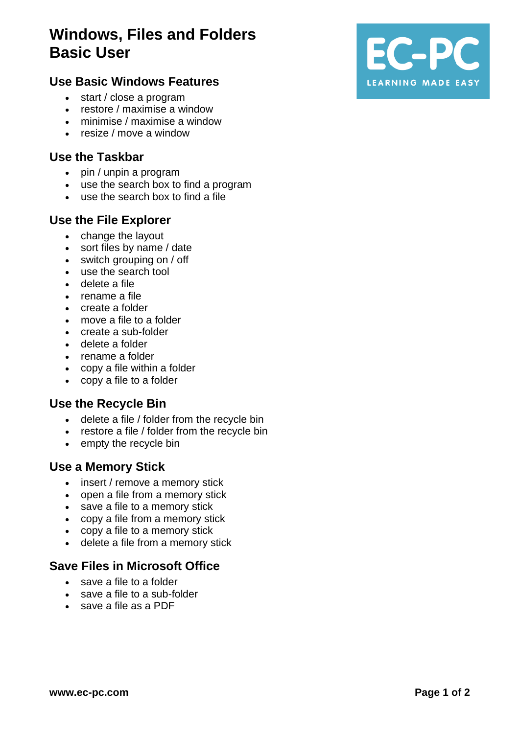# **Windows, Files and Folders Basic User**

## **Use Basic Windows Features**

- start / close a program
- restore / maximise a window
- minimise / maximise a window
- resize / move a window

#### **Use the Taskbar**

- pin / unpin a program
- use the search box to find a program
- use the search box to find a file

#### **Use the File Explorer**

- change the layout
- sort files by name / date
- switch grouping on / off
- use the search tool
- delete a file
- rename a file
- create a folder
- move a file to a folder
- create a sub-folder
- delete a folder
- rename a folder
- copy a file within a folder
- copy a file to a folder

#### **Use the Recycle Bin**

- delete a file / folder from the recycle bin
- restore a file / folder from the recycle bin
- empty the recycle bin

#### **Use a Memory Stick**

- insert / remove a memory stick
- open a file from a memory stick
- save a file to a memory stick
- copy a file from a memory stick
- copy a file to a memory stick
- delete a file from a memory stick

#### **Save Files in Microsoft Office**

- save a file to a folder
- save a file to a sub-folder
- save a file as a PDF